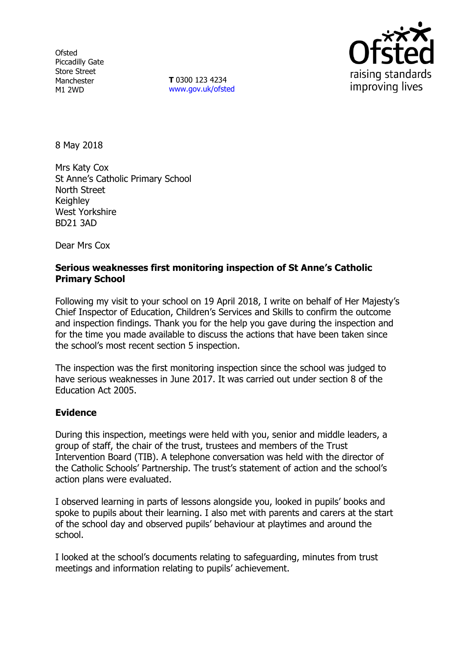**Ofsted** Piccadilly Gate Store Street Manchester M1 2WD

**T** 0300 123 4234 www.gov.uk/ofsted



8 May 2018

Mrs Katy Cox St Anne's Catholic Primary School North Street **Keighley** West Yorkshire BD21 3AD

Dear Mrs Cox

# **Serious weaknesses first monitoring inspection of St Anne's Catholic Primary School**

Following my visit to your school on 19 April 2018, I write on behalf of Her Majesty's Chief Inspector of Education, Children's Services and Skills to confirm the outcome and inspection findings. Thank you for the help you gave during the inspection and for the time you made available to discuss the actions that have been taken since the school's most recent section 5 inspection.

The inspection was the first monitoring inspection since the school was judged to have serious weaknesses in June 2017. It was carried out under section 8 of the Education Act 2005.

# **Evidence**

During this inspection, meetings were held with you, senior and middle leaders, a group of staff, the chair of the trust, trustees and members of the Trust Intervention Board (TIB). A telephone conversation was held with the director of the Catholic Schools' Partnership. The trust's statement of action and the school's action plans were evaluated.

I observed learning in parts of lessons alongside you, looked in pupils' books and spoke to pupils about their learning. I also met with parents and carers at the start of the school day and observed pupils' behaviour at playtimes and around the school.

I looked at the school's documents relating to safeguarding, minutes from trust meetings and information relating to pupils' achievement.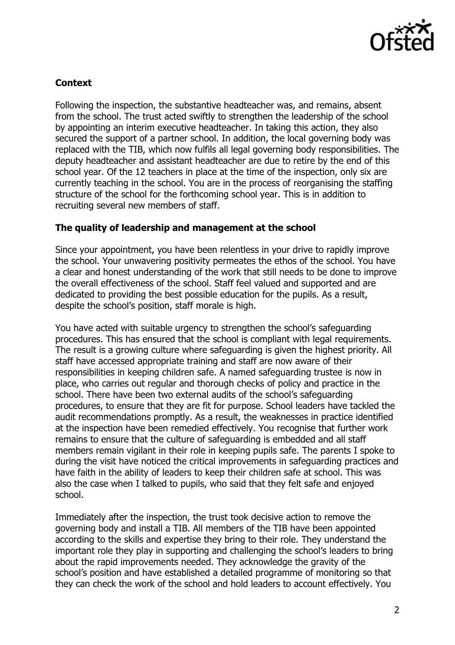

# **Context**

Following the inspection, the substantive headteacher was, and remains, absent from the school. The trust acted swiftly to strengthen the leadership of the school by appointing an interim executive headteacher. In taking this action, they also secured the support of a partner school. In addition, the local governing body was replaced with the TIB, which now fulfils all legal governing body responsibilities. The deputy headteacher and assistant headteacher are due to retire by the end of this school year. Of the 12 teachers in place at the time of the inspection, only six are currently teaching in the school. You are in the process of reorganising the staffing structure of the school for the forthcoming school year. This is in addition to recruiting several new members of staff.

# **The quality of leadership and management at the school**

Since your appointment, you have been relentless in your drive to rapidly improve the school. Your unwavering positivity permeates the ethos of the school. You have a clear and honest understanding of the work that still needs to be done to improve the overall effectiveness of the school. Staff feel valued and supported and are dedicated to providing the best possible education for the pupils. As a result, despite the school's position, staff morale is high.

You have acted with suitable urgency to strengthen the school's safeguarding procedures. This has ensured that the school is compliant with legal requirements. The result is a growing culture where safeguarding is given the highest priority. All staff have accessed appropriate training and staff are now aware of their responsibilities in keeping children safe. A named safeguarding trustee is now in place, who carries out regular and thorough checks of policy and practice in the school. There have been two external audits of the school's safeguarding procedures, to ensure that they are fit for purpose. School leaders have tackled the audit recommendations promptly. As a result, the weaknesses in practice identified at the inspection have been remedied effectively. You recognise that further work remains to ensure that the culture of safeguarding is embedded and all staff members remain vigilant in their role in keeping pupils safe. The parents I spoke to during the visit have noticed the critical improvements in safeguarding practices and have faith in the ability of leaders to keep their children safe at school. This was also the case when I talked to pupils, who said that they felt safe and enjoyed school.

Immediately after the inspection, the trust took decisive action to remove the governing body and install a TIB. All members of the TIB have been appointed according to the skills and expertise they bring to their role. They understand the important role they play in supporting and challenging the school's leaders to bring about the rapid improvements needed. They acknowledge the gravity of the school's position and have established a detailed programme of monitoring so that they can check the work of the school and hold leaders to account effectively. You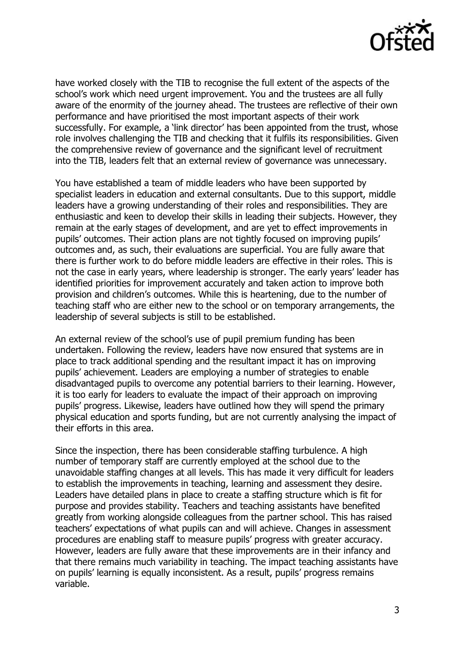

have worked closely with the TIB to recognise the full extent of the aspects of the school's work which need urgent improvement. You and the trustees are all fully aware of the enormity of the journey ahead. The trustees are reflective of their own performance and have prioritised the most important aspects of their work successfully. For example, a 'link director' has been appointed from the trust, whose role involves challenging the TIB and checking that it fulfils its responsibilities. Given the comprehensive review of governance and the significant level of recruitment into the TIB, leaders felt that an external review of governance was unnecessary.

You have established a team of middle leaders who have been supported by specialist leaders in education and external consultants. Due to this support, middle leaders have a growing understanding of their roles and responsibilities. They are enthusiastic and keen to develop their skills in leading their subjects. However, they remain at the early stages of development, and are yet to effect improvements in pupils' outcomes. Their action plans are not tightly focused on improving pupils' outcomes and, as such, their evaluations are superficial. You are fully aware that there is further work to do before middle leaders are effective in their roles. This is not the case in early years, where leadership is stronger. The early years' leader has identified priorities for improvement accurately and taken action to improve both provision and children's outcomes. While this is heartening, due to the number of teaching staff who are either new to the school or on temporary arrangements, the leadership of several subjects is still to be established.

An external review of the school's use of pupil premium funding has been undertaken. Following the review, leaders have now ensured that systems are in place to track additional spending and the resultant impact it has on improving pupils' achievement. Leaders are employing a number of strategies to enable disadvantaged pupils to overcome any potential barriers to their learning. However, it is too early for leaders to evaluate the impact of their approach on improving pupils' progress. Likewise, leaders have outlined how they will spend the primary physical education and sports funding, but are not currently analysing the impact of their efforts in this area.

Since the inspection, there has been considerable staffing turbulence. A high number of temporary staff are currently employed at the school due to the unavoidable staffing changes at all levels. This has made it very difficult for leaders to establish the improvements in teaching, learning and assessment they desire. Leaders have detailed plans in place to create a staffing structure which is fit for purpose and provides stability. Teachers and teaching assistants have benefited greatly from working alongside colleagues from the partner school. This has raised teachers' expectations of what pupils can and will achieve. Changes in assessment procedures are enabling staff to measure pupils' progress with greater accuracy. However, leaders are fully aware that these improvements are in their infancy and that there remains much variability in teaching. The impact teaching assistants have on pupils' learning is equally inconsistent. As a result, pupils' progress remains variable.